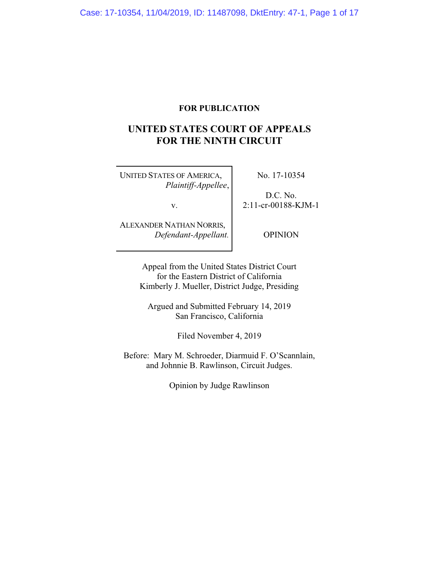### **FOR PUBLICATION**

# **UNITED STATES COURT OF APPEALS FOR THE NINTH CIRCUIT**

UNITED STATES OF AMERICA, *Plaintiff-Appellee*,

v.

ALEXANDER NATHAN NORRIS, *Defendant-Appellant.* No. 17-10354

D.C. No. 2:11-cr-00188-KJM-1

OPINION

Appeal from the United States District Court for the Eastern District of California Kimberly J. Mueller, District Judge, Presiding

Argued and Submitted February 14, 2019 San Francisco, California

Filed November 4, 2019

Before: Mary M. Schroeder, Diarmuid F. O'Scannlain, and Johnnie B. Rawlinson, Circuit Judges.

Opinion by Judge Rawlinson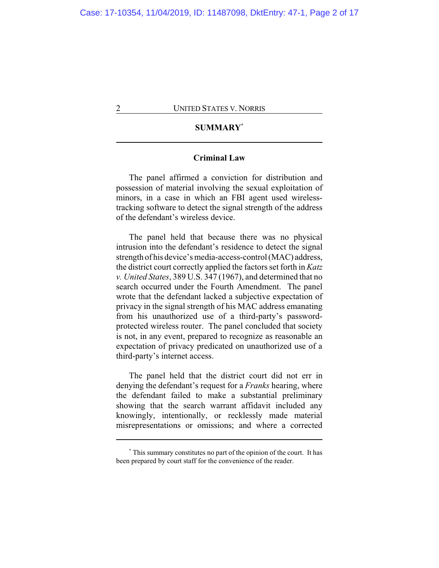# **SUMMARY\***

### **Criminal Law**

The panel affirmed a conviction for distribution and possession of material involving the sexual exploitation of minors, in a case in which an FBI agent used wirelesstracking software to detect the signal strength of the address of the defendant's wireless device.

The panel held that because there was no physical intrusion into the defendant's residence to detect the signal strength of his device's media-access-control (MAC) address, the district court correctly applied the factors set forth in *Katz v. United States*, 389 U.S. 347 (1967), and determined that no search occurred under the Fourth Amendment. The panel wrote that the defendant lacked a subjective expectation of privacy in the signal strength of his MAC address emanating from his unauthorized use of a third-party's passwordprotected wireless router. The panel concluded that society is not, in any event, prepared to recognize as reasonable an expectation of privacy predicated on unauthorized use of a third-party's internet access.

The panel held that the district court did not err in denying the defendant's request for a *Franks* hearing, where the defendant failed to make a substantial preliminary showing that the search warrant affidavit included any knowingly, intentionally, or recklessly made material misrepresentations or omissions; and where a corrected

**<sup>\*</sup>** This summary constitutes no part of the opinion of the court. It has been prepared by court staff for the convenience of the reader.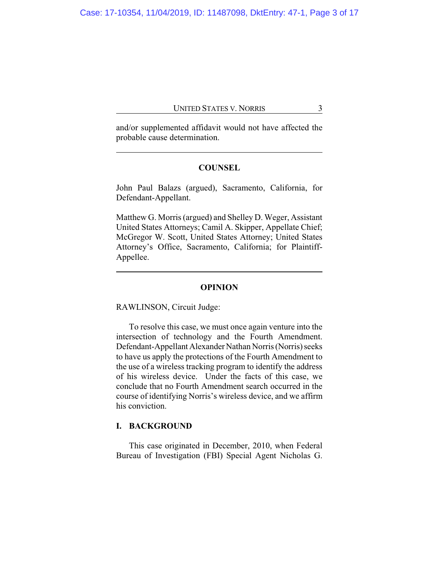and/or supplemented affidavit would not have affected the probable cause determination.

### **COUNSEL**

John Paul Balazs (argued), Sacramento, California, for Defendant-Appellant.

Matthew G. Morris (argued) and Shelley D. Weger, Assistant United States Attorneys; Camil A. Skipper, Appellate Chief; McGregor W. Scott, United States Attorney; United States Attorney's Office, Sacramento, California; for Plaintiff-Appellee.

#### **OPINION**

RAWLINSON, Circuit Judge:

To resolve this case, we must once again venture into the intersection of technology and the Fourth Amendment. Defendant-Appellant Alexander Nathan Norris (Norris) seeks to have us apply the protections of the Fourth Amendment to the use of a wireless tracking program to identify the address of his wireless device. Under the facts of this case, we conclude that no Fourth Amendment search occurred in the course of identifying Norris's wireless device, and we affirm his conviction.

### **I. BACKGROUND**

This case originated in December, 2010, when Federal Bureau of Investigation (FBI) Special Agent Nicholas G.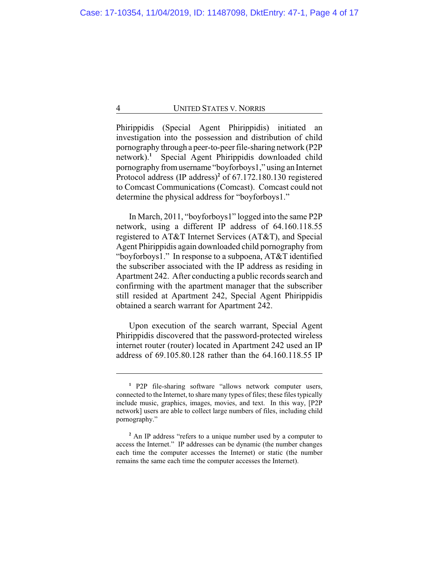Phirippidis (Special Agent Phirippidis) initiated an investigation into the possession and distribution of child pornography through a peer-to-peer file-sharing network (P2P network).**<sup>1</sup>** Special Agent Phirippidis downloaded child pornography fromusername "boyforboys1," using an Internet Protocol address (IP address)**<sup>2</sup>** of 67.172.180.130 registered to Comcast Communications (Comcast). Comcast could not determine the physical address for "boyforboys1."

In March, 2011, "boyforboys1" logged into the same P2P network, using a different IP address of 64.160.118.55 registered to AT&T Internet Services (AT&T), and Special Agent Phirippidis again downloaded child pornography from "boyforboys1." In response to a subpoena, AT&T identified the subscriber associated with the IP address as residing in Apartment 242. After conducting a public records search and confirming with the apartment manager that the subscriber still resided at Apartment 242, Special Agent Phirippidis obtained a search warrant for Apartment 242.

Upon execution of the search warrant, Special Agent Phirippidis discovered that the password-protected wireless internet router (router) located in Apartment 242 used an IP address of 69.105.80.128 rather than the 64.160.118.55 IP

**<sup>1</sup>** P2P file-sharing software "allows network computer users, connected to the Internet, to share many types of files; these files typically include music, graphics, images, movies, and text. In this way, [P2P network] users are able to collect large numbers of files, including child pornography."

**<sup>2</sup>** An IP address "refers to a unique number used by a computer to access the Internet." IP addresses can be dynamic (the number changes each time the computer accesses the Internet) or static (the number remains the same each time the computer accesses the Internet).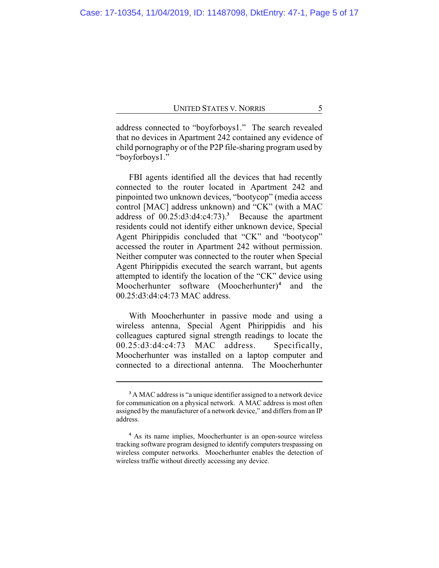address connected to "boyforboys1." The search revealed that no devices in Apartment 242 contained any evidence of child pornography or of the P2P file-sharing program used by "boyforboys1."

FBI agents identified all the devices that had recently connected to the router located in Apartment 242 and pinpointed two unknown devices, "bootycop" (media access control [MAC] address unknown) and "CK" (with a MAC address of 00.25:d3:d4:c4:73).**<sup>3</sup>** Because the apartment residents could not identify either unknown device, Special Agent Phirippidis concluded that "CK" and "bootycop" accessed the router in Apartment 242 without permission. Neither computer was connected to the router when Special Agent Phirippidis executed the search warrant, but agents attempted to identify the location of the "CK" device using Moocherhunter software (Moocherhunter)<sup>4</sup> and the 00.25:d3:d4:c4:73 MAC address.

With Moocherhunter in passive mode and using a wireless antenna, Special Agent Phirippidis and his colleagues captured signal strength readings to locate the 00.25:d3:d4:c4:73 MAC address. Specifically, Moocherhunter was installed on a laptop computer and connected to a directional antenna. The Moocherhunter

**<sup>3</sup>** A MAC address is "a unique identifier assigned to a network device for communication on a physical network. A MAC address is most often assigned by the manufacturer of a network device," and differs from an IP address.

**<sup>4</sup>** As its name implies, Moocherhunter is an open-source wireless tracking software program designed to identify computers trespassing on wireless computer networks. Moocherhunter enables the detection of wireless traffic without directly accessing any device.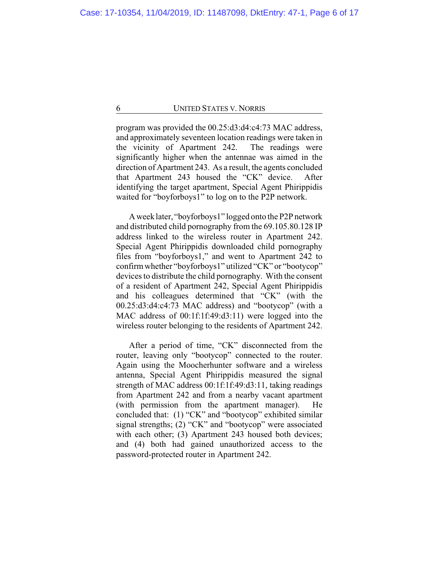program was provided the 00.25:d3:d4:c4:73 MAC address, and approximately seventeen location readings were taken in the vicinity of Apartment 242. The readings were significantly higher when the antennae was aimed in the direction of Apartment 243. As a result, the agents concluded that Apartment 243 housed the "CK" device. After identifying the target apartment, Special Agent Phirippidis waited for "boyforboys1" to log on to the P2P network.

Aweek later, "boyforboys1" logged onto the P2P network and distributed child pornography from the 69.105.80.128 IP address linked to the wireless router in Apartment 242. Special Agent Phirippidis downloaded child pornography files from "boyforboys1," and went to Apartment 242 to confirm whether "boyforboys1" utilized "CK" or "bootycop" devices to distribute the child pornography. With the consent of a resident of Apartment 242, Special Agent Phirippidis and his colleagues determined that "CK" (with the 00.25:d3:d4:c4:73 MAC address) and "bootycop" (with a MAC address of 00:1f:1f:49:d3:11) were logged into the wireless router belonging to the residents of Apartment 242.

After a period of time, "CK" disconnected from the router, leaving only "bootycop" connected to the router. Again using the Moocherhunter software and a wireless antenna, Special Agent Phirippidis measured the signal strength of MAC address 00:1f:1f:49:d3:11, taking readings from Apartment 242 and from a nearby vacant apartment (with permission from the apartment manager). He concluded that: (1) "CK" and "bootycop" exhibited similar signal strengths; (2) "CK" and "bootycop" were associated with each other; (3) Apartment 243 housed both devices; and (4) both had gained unauthorized access to the password-protected router in Apartment 242.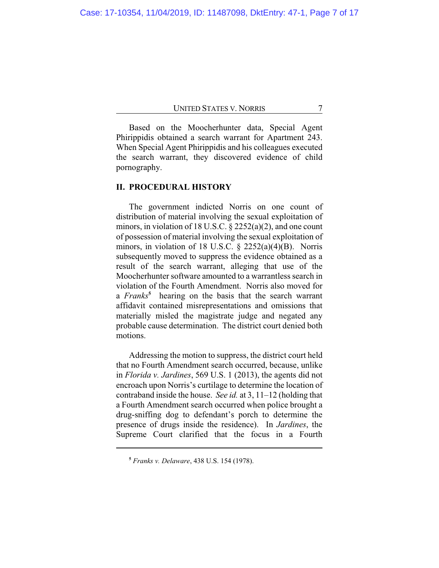Based on the Moocherhunter data, Special Agent Phirippidis obtained a search warrant for Apartment 243. When Special Agent Phirippidis and his colleagues executed the search warrant, they discovered evidence of child pornography.

### **II. PROCEDURAL HISTORY**

The government indicted Norris on one count of distribution of material involving the sexual exploitation of minors, in violation of 18 U.S.C. § 2252(a)(2), and one count of possession of material involving the sexual exploitation of minors, in violation of 18 U.S.C. § 2252(a)(4)(B). Norris subsequently moved to suppress the evidence obtained as a result of the search warrant, alleging that use of the Moocherhunter software amounted to a warrantless search in violation of the Fourth Amendment. Norris also moved for a *Franks***<sup>5</sup>** hearing on the basis that the search warrant affidavit contained misrepresentations and omissions that materially misled the magistrate judge and negated any probable cause determination. The district court denied both motions.

Addressing the motion to suppress, the district court held that no Fourth Amendment search occurred, because, unlike in *Florida v. Jardines*, 569 U.S. 1 (2013), the agents did not encroach upon Norris's curtilage to determine the location of contraband inside the house. *See id.* at 3, 11–12 (holding that a Fourth Amendment search occurred when police brought a drug-sniffing dog to defendant's porch to determine the presence of drugs inside the residence). In *Jardines*, the Supreme Court clarified that the focus in a Fourth

**<sup>5</sup>** *Franks v. Delaware*, 438 U.S. 154 (1978).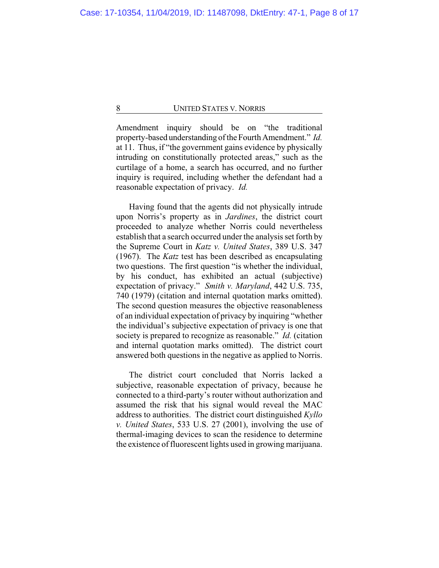Amendment inquiry should be on "the traditional property-based understanding of the Fourth Amendment." *Id.* at 11. Thus, if "the government gains evidence by physically intruding on constitutionally protected areas," such as the curtilage of a home, a search has occurred, and no further inquiry is required, including whether the defendant had a reasonable expectation of privacy. *Id.*

Having found that the agents did not physically intrude upon Norris's property as in *Jardines*, the district court proceeded to analyze whether Norris could nevertheless establish that a search occurred under the analysis set forth by the Supreme Court in *Katz v. United States*, 389 U.S. 347 (1967). The *Katz* test has been described as encapsulating two questions. The first question "is whether the individual, by his conduct, has exhibited an actual (subjective) expectation of privacy." *Smith v. Maryland*, 442 U.S. 735, 740 (1979) (citation and internal quotation marks omitted). The second question measures the objective reasonableness of an individual expectation of privacy by inquiring "whether the individual's subjective expectation of privacy is one that society is prepared to recognize as reasonable." *Id.* (citation and internal quotation marks omitted). The district court answered both questions in the negative as applied to Norris.

The district court concluded that Norris lacked a subjective, reasonable expectation of privacy, because he connected to a third-party's router without authorization and assumed the risk that his signal would reveal the MAC address to authorities. The district court distinguished *Kyllo v. United States*, 533 U.S. 27 (2001), involving the use of thermal-imaging devices to scan the residence to determine the existence of fluorescent lights used in growing marijuana.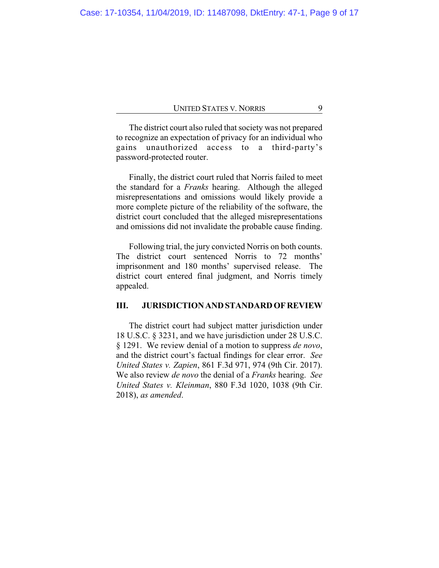The district court also ruled that society was not prepared to recognize an expectation of privacy for an individual who gains unauthorized access to a third-party's password-protected router.

Finally, the district court ruled that Norris failed to meet the standard for a *Franks* hearing. Although the alleged misrepresentations and omissions would likely provide a more complete picture of the reliability of the software, the district court concluded that the alleged misrepresentations and omissions did not invalidate the probable cause finding.

Following trial, the jury convicted Norris on both counts. The district court sentenced Norris to 72 months' imprisonment and 180 months' supervised release. The district court entered final judgment, and Norris timely appealed.

### **III. JURISDICTIONANDSTANDARD OF REVIEW**

The district court had subject matter jurisdiction under 18 U.S.C. § 3231, and we have jurisdiction under 28 U.S.C. § 1291. We review denial of a motion to suppress *de novo*, and the district court's factual findings for clear error. *See United States v. Zapien*, 861 F.3d 971, 974 (9th Cir. 2017). We also review *de novo* the denial of a *Franks* hearing. *See United States v. Kleinman*, 880 F.3d 1020, 1038 (9th Cir. 2018), *as amended*.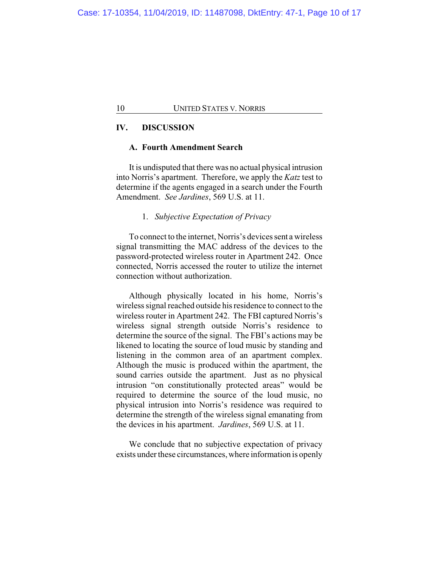## **IV. DISCUSSION**

### **A. Fourth Amendment Search**

It is undisputed that there was no actual physical intrusion into Norris's apartment. Therefore, we apply the *Katz* test to determine if the agents engaged in a search under the Fourth Amendment. *See Jardines*, 569 U.S. at 11.

### 1. *Subjective Expectation of Privacy*

To connect to the internet, Norris's devices sent a wireless signal transmitting the MAC address of the devices to the password-protected wireless router in Apartment 242. Once connected, Norris accessed the router to utilize the internet connection without authorization.

Although physically located in his home, Norris's wireless signal reached outside his residence to connect to the wireless router in Apartment 242. The FBI captured Norris's wireless signal strength outside Norris's residence to determine the source of the signal. The FBI's actions may be likened to locating the source of loud music by standing and listening in the common area of an apartment complex. Although the music is produced within the apartment, the sound carries outside the apartment. Just as no physical intrusion "on constitutionally protected areas" would be required to determine the source of the loud music, no physical intrusion into Norris's residence was required to determine the strength of the wireless signal emanating from the devices in his apartment. *Jardines*, 569 U.S. at 11.

We conclude that no subjective expectation of privacy exists under these circumstances,where information is openly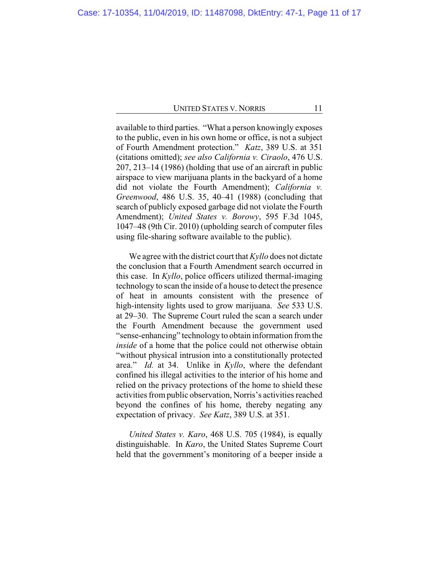available to third parties. "What a person knowingly exposes to the public, even in his own home or office, is not a subject of Fourth Amendment protection." *Katz*, 389 U.S. at 351 (citations omitted); *see also California v. Ciraolo*, 476 U.S. 207, 213–14 (1986) (holding that use of an aircraft in public airspace to view marijuana plants in the backyard of a home did not violate the Fourth Amendment); *California v. Greenwood*, 486 U.S. 35, 40–41 (1988) (concluding that search of publicly exposed garbage did not violate the Fourth Amendment); *United States v. Borowy*, 595 F.3d 1045, 1047–48 (9th Cir. 2010) (upholding search of computer files using file-sharing software available to the public).

We agree with the district court that *Kyllo* does not dictate the conclusion that a Fourth Amendment search occurred in this case. In *Kyllo*, police officers utilized thermal-imaging technology to scan the inside of a house to detect the presence of heat in amounts consistent with the presence of high-intensity lights used to grow marijuana. *See* 533 U.S. at 29–30. The Supreme Court ruled the scan a search under the Fourth Amendment because the government used "sense-enhancing" technology to obtain information fromthe *inside* of a home that the police could not otherwise obtain "without physical intrusion into a constitutionally protected area." *Id.* at 34. Unlike in *Kyllo*, where the defendant confined his illegal activities to the interior of his home and relied on the privacy protections of the home to shield these activities from public observation, Norris's activities reached beyond the confines of his home, thereby negating any expectation of privacy. *See Katz*, 389 U.S. at 351.

*United States v. Karo*, 468 U.S. 705 (1984), is equally distinguishable. In *Karo*, the United States Supreme Court held that the government's monitoring of a beeper inside a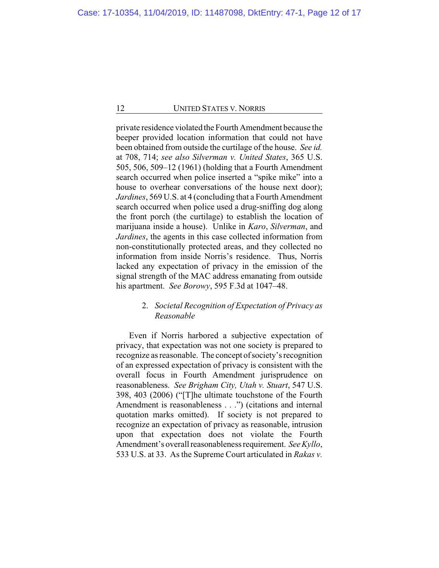private residence violated the Fourth Amendment because the beeper provided location information that could not have been obtained from outside the curtilage of the house. *See id.* at 708, 714; *see also Silverman v. United States*, 365 U.S. 505, 506, 509–12 (1961) (holding that a Fourth Amendment search occurred when police inserted a "spike mike" into a house to overhear conversations of the house next door); *Jardines*, 569 U.S. at 4 (concluding that a Fourth Amendment search occurred when police used a drug-sniffing dog along the front porch (the curtilage) to establish the location of marijuana inside a house). Unlike in *Karo*, *Silverman*, and *Jardines*, the agents in this case collected information from non-constitutionally protected areas, and they collected no information from inside Norris's residence. Thus, Norris lacked any expectation of privacy in the emission of the signal strength of the MAC address emanating from outside his apartment. *See Borowy*, 595 F.3d at 1047–48.

### 2. *Societal Recognition of Expectation of Privacy as Reasonable*

Even if Norris harbored a subjective expectation of privacy, that expectation was not one society is prepared to recognize as reasonable. The concept ofsociety's recognition of an expressed expectation of privacy is consistent with the overall focus in Fourth Amendment jurisprudence on reasonableness. *See Brigham City, Utah v. Stuart*, 547 U.S. 398, 403 (2006) ("[T]he ultimate touchstone of the Fourth Amendment is reasonableness . . .") (citations and internal quotation marks omitted). If society is not prepared to recognize an expectation of privacy as reasonable, intrusion upon that expectation does not violate the Fourth Amendment's overall reasonableness requirement. *See Kyllo*, 533 U.S. at 33. As the Supreme Court articulated in *Rakas v.*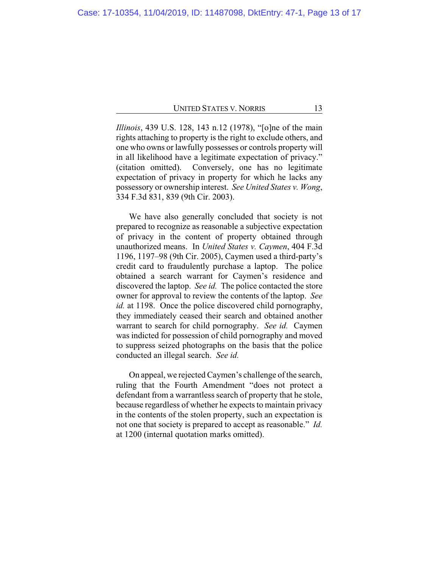*Illinois*, 439 U.S. 128, 143 n.12 (1978), "[o]ne of the main rights attaching to property is the right to exclude others, and one who owns or lawfully possesses or controls property will in all likelihood have a legitimate expectation of privacy." (citation omitted). Conversely, one has no legitimate expectation of privacy in property for which he lacks any possessory or ownership interest. *See United States v. Wong*, 334 F.3d 831, 839 (9th Cir. 2003).

We have also generally concluded that society is not prepared to recognize as reasonable a subjective expectation of privacy in the content of property obtained through unauthorized means. In *United States v. Caymen*, 404 F.3d 1196, 1197–98 (9th Cir. 2005), Caymen used a third-party's credit card to fraudulently purchase a laptop. The police obtained a search warrant for Caymen's residence and discovered the laptop. *See id.* The police contacted the store owner for approval to review the contents of the laptop. *See id.* at 1198. Once the police discovered child pornography, they immediately ceased their search and obtained another warrant to search for child pornography. *See id.* Caymen was indicted for possession of child pornography and moved to suppress seized photographs on the basis that the police conducted an illegal search. *See id.*

On appeal, we rejected Caymen's challenge of the search, ruling that the Fourth Amendment "does not protect a defendant from a warrantless search of property that he stole, because regardless of whether he expects to maintain privacy in the contents of the stolen property, such an expectation is not one that society is prepared to accept as reasonable." *Id.* at 1200 (internal quotation marks omitted).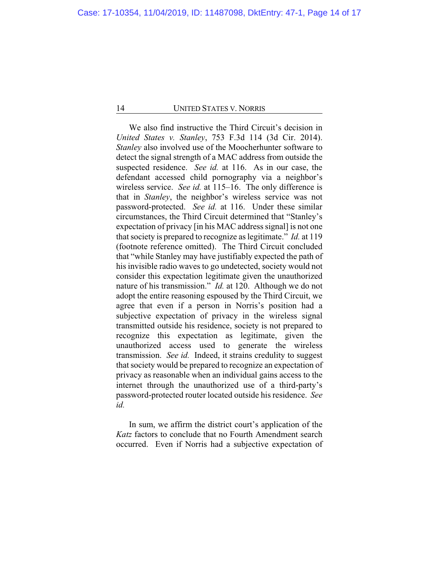We also find instructive the Third Circuit's decision in *United States v. Stanley*, 753 F.3d 114 (3d Cir. 2014). *Stanley* also involved use of the Moocherhunter software to detect the signal strength of a MAC address from outside the suspected residence. *See id.* at 116. As in our case, the defendant accessed child pornography via a neighbor's wireless service. *See id.* at 115–16. The only difference is that in *Stanley*, the neighbor's wireless service was not password-protected. *See id.* at 116. Under these similar circumstances, the Third Circuit determined that "Stanley's expectation of privacy [in his MAC address signal] is not one that society is prepared to recognize as legitimate." *Id.* at 119 (footnote reference omitted). The Third Circuit concluded that "while Stanley may have justifiably expected the path of his invisible radio waves to go undetected, society would not consider this expectation legitimate given the unauthorized nature of his transmission." *Id.* at 120. Although we do not adopt the entire reasoning espoused by the Third Circuit, we agree that even if a person in Norris's position had a subjective expectation of privacy in the wireless signal transmitted outside his residence, society is not prepared to recognize this expectation as legitimate, given the unauthorized access used to generate the wireless transmission. *See id.* Indeed, it strains credulity to suggest that society would be prepared to recognize an expectation of privacy as reasonable when an individual gains access to the internet through the unauthorized use of a third-party's password-protected router located outside his residence. *See id.*

In sum, we affirm the district court's application of the *Katz* factors to conclude that no Fourth Amendment search occurred. Even if Norris had a subjective expectation of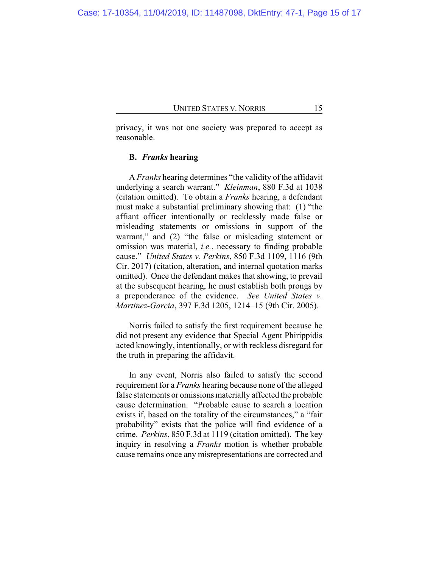privacy, it was not one society was prepared to accept as reasonable.

#### **B.** *Franks* **hearing**

A *Franks* hearing determines "the validity of the affidavit underlying a search warrant." *Kleinman*, 880 F.3d at 1038 (citation omitted). To obtain a *Franks* hearing, a defendant must make a substantial preliminary showing that: (1) "the affiant officer intentionally or recklessly made false or misleading statements or omissions in support of the warrant," and (2) "the false or misleading statement or omission was material, *i.e.*, necessary to finding probable cause." *United States v. Perkins*, 850 F.3d 1109, 1116 (9th Cir. 2017) (citation, alteration, and internal quotation marks omitted). Once the defendant makes that showing, to prevail at the subsequent hearing, he must establish both prongs by a preponderance of the evidence. *See United States v. Martinez-Garcia*, 397 F.3d 1205, 1214–15 (9th Cir. 2005).

Norris failed to satisfy the first requirement because he did not present any evidence that Special Agent Phirippidis acted knowingly, intentionally, or with reckless disregard for the truth in preparing the affidavit.

In any event, Norris also failed to satisfy the second requirement for a *Franks* hearing because none of the alleged false statements or omissions materially affected the probable cause determination. "Probable cause to search a location exists if, based on the totality of the circumstances," a "fair probability" exists that the police will find evidence of a crime. *Perkins*, 850 F.3d at 1119 (citation omitted). The key inquiry in resolving a *Franks* motion is whether probable cause remains once any misrepresentations are corrected and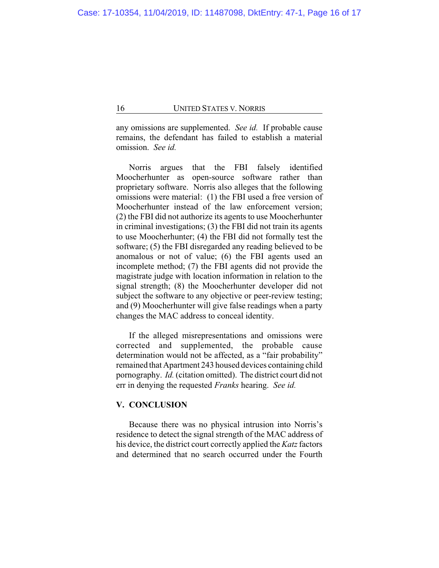any omissions are supplemented. *See id.* If probable cause remains, the defendant has failed to establish a material omission. *See id.*

Norris argues that the FBI falsely identified Moocherhunter as open-source software rather than proprietary software. Norris also alleges that the following omissions were material: (1) the FBI used a free version of Moocherhunter instead of the law enforcement version; (2) the FBI did not authorize its agents to use Moocherhunter in criminal investigations; (3) the FBI did not train its agents to use Moocherhunter; (4) the FBI did not formally test the software; (5) the FBI disregarded any reading believed to be anomalous or not of value; (6) the FBI agents used an incomplete method; (7) the FBI agents did not provide the magistrate judge with location information in relation to the signal strength; (8) the Moocherhunter developer did not subject the software to any objective or peer-review testing; and (9) Moocherhunter will give false readings when a party changes the MAC address to conceal identity.

If the alleged misrepresentations and omissions were corrected and supplemented, the probable cause determination would not be affected, as a "fair probability" remained that Apartment 243 housed devices containing child pornography. *Id.*(citation omitted). The district court did not err in denying the requested *Franks* hearing. *See id.*

### **V. CONCLUSION**

Because there was no physical intrusion into Norris's residence to detect the signal strength of the MAC address of his device, the district court correctly applied the *Katz*factors and determined that no search occurred under the Fourth